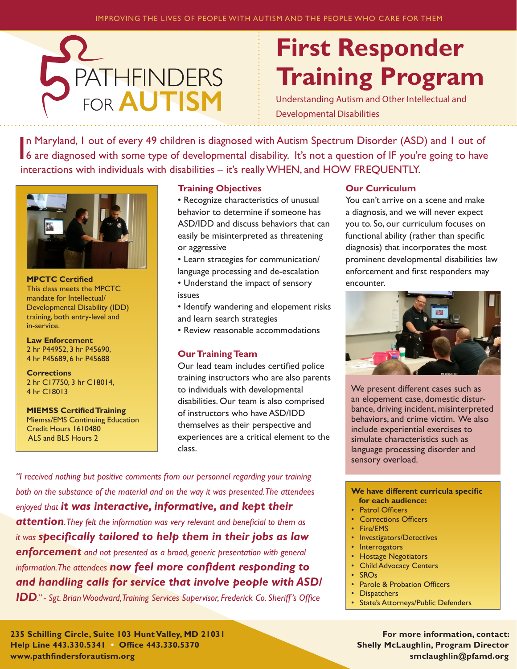

# **First Responder Training Program**

Understanding Autism and Other Intellectual and Developmental Disabilities

In Maryland, I out of every 49 children is diagnosed with Autism Spectrum Disorder (ASD) and I out of 6 are diagnosed with some type of developmental disability. It's not a question of IF you're going to have n Maryland, 1 out of every 49 children is diagnosed with Autism Spectrum Disorder (ASD) and 1 out of interactions with individuals with disabilities – it's really WHEN, and HOW FREQUENTLY.



**MPCTC Certified**  This class meets the MPCTC mandate for Intellectual/ Developmental Disability (IDD) training, both entry-level and in-service.

**Law Enforcement** 2 hr P44952, 3 hr P45690, 4 hr P45689, 6 hr P45688

**Corrections**  2 hr C17750, 3 hr C18014, 4 hr C18013

**MIEMSS Certified Training**  Miemss/EMS Continuing Education Credit Hours 1610480 ALS and BLS Hours 2

#### **Training Objectives**

- Recognize characteristics of unusual behavior to determine if someone has ASD/IDD and discuss behaviors that can easily be misinterpreted as threatening or aggressive
- Learn strategies for communication/ language processing and de-escalation
- Understand the impact of sensory issues
- Identify wandering and elopement risks and learn search strategies
- Review reasonable accommodations

## **Our Training Team**

Our lead team includes certified police training instructors who are also parents to individuals with developmental disabilities. Our team is also comprised of instructors who have ASD/IDD themselves as their perspective and experiences are a critical element to the class.

*"I received nothing but positive comments from our personnel regarding your training both on the substance of the material and on the way it was presented. The attendees enjoyed that it was interactive, informative, and kept their attention. They felt the information was very relevant and beneficial to them as it was specifically tailored to help them in their jobs as law enforcement and not presented as a broad, generic presentation with general information. The attendees now feel more confident responding to and handling calls for service that involve people with ASD/*

*IDD." - Sgt. Brian Woodward, Training Services Supervisor, Frederick Co. Sheriff's Office*

#### **Our Curriculum**

You can't arrive on a scene and make a diagnosis, and we will never expect you to. So, our curriculum focuses on functional ability (rather than specific diagnosis) that incorporates the most prominent developmental disabilities law enforcement and first responders may encounter.



We present different cases such as an elopement case, domestic disturbance, driving incident, misinterpreted behaviors, and crime victim. We also include experiential exercises to simulate characteristics such as language processing disorder and sensory overload.

#### **We have different curricula specific for each audience:**

- Patrol Officers
- Corrections Officers
- Fire/EMS
- Investigators/Detectives
- Interrogators
- Hostage Negotiators
- Child Advocacy Centers
- SROs
- Parole & Probation Officers
- Dispatchers
- State's Attorneys/Public Defenders

**For more information, contact: Shelly McLaughlin, Program Director smclaughlin@pfamd.org**

**235 Schilling Circle, Suite 103 Hunt Valley, MD 21031 Help Line 443.330.5341 • Office 443.330.5370 www.pathfindersforautism.org**